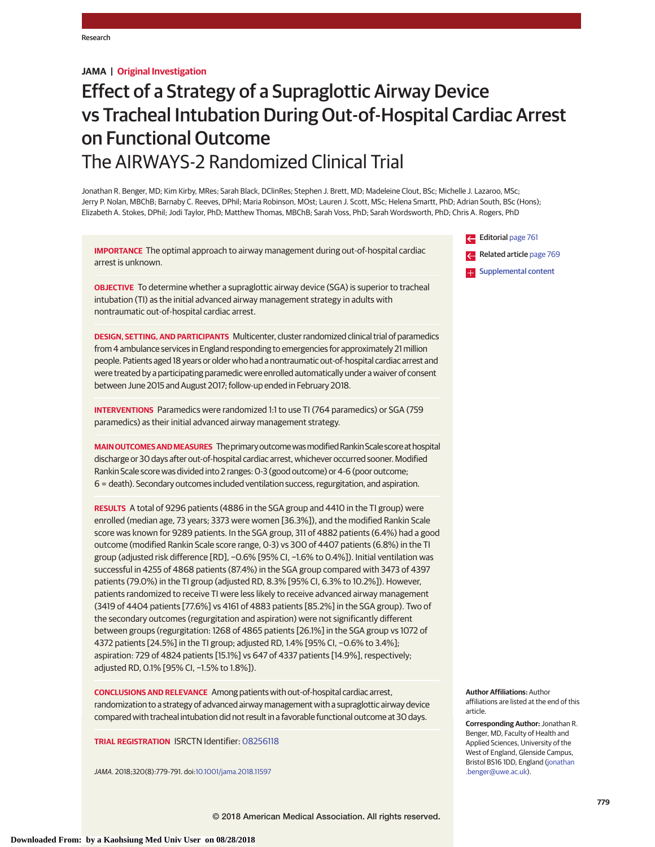**JAMA | Original Investigation**

# Effect of a Strategy of a Supraglottic Airway Device vs Tracheal Intubation During Out-of-Hospital Cardiac Arrest on Functional Outcome The AIRWAYS-2 Randomized Clinical Trial

Jonathan R. Benger, MD; Kim Kirby, MRes; Sarah Black, DClinRes; Stephen J. Brett, MD; Madeleine Clout, BSc; Michelle J. Lazaroo, MSc; Jerry P. Nolan, MBChB; Barnaby C. Reeves, DPhil; Maria Robinson, MOst; Lauren J. Scott, MSc; Helena Smartt, PhD; Adrian South, BSc (Hons); Elizabeth A. Stokes, DPhil; Jodi Taylor, PhD; Matthew Thomas, MBChB; Sarah Voss, PhD; Sarah Wordsworth, PhD; Chris A. Rogers, PhD

**IMPORTANCE** The optimal approach to airway management during out-of-hospital cardiac arrest is unknown.

**OBJECTIVE** To determine whether a supraglottic airway device (SGA) is superior to tracheal intubation (TI) as the initial advanced airway management strategy in adults with nontraumatic out-of-hospital cardiac arrest.

**DESIGN, SETTING, AND PARTICIPANTS** Multicenter, cluster randomized clinical trial of paramedics from 4 ambulance services in England responding to emergencies for approximately 21 million people. Patients aged 18 years or older who had a nontraumatic out-of-hospital cardiac arrest and were treated by a participating paramedic were enrolled automatically under a waiver of consent between June 2015 and August 2017; follow-up ended in February 2018.

**INTERVENTIONS** Paramedics were randomized 1:1 to use TI (764 paramedics) or SGA (759 paramedics) as their initial advanced airway management strategy.

MAIN OUTCOMES AND MEASURES The primary outcome was modified Rankin Scale score at hospital discharge or 30 days after out-of-hospital cardiac arrest, whichever occurred sooner. Modified Rankin Scale score was divided into 2 ranges: 0-3 (good outcome) or 4-6 (poor outcome; 6 = death). Secondary outcomes included ventilation success, regurgitation, and aspiration.

**RESULTS** A total of 9296 patients (4886 in the SGA group and 4410 in the TI group) were enrolled (median age, 73 years; 3373 were women [36.3%]), and the modified Rankin Scale score was known for 9289 patients. In the SGA group, 311 of 4882 patients (6.4%) had a good outcome (modified Rankin Scale score range, 0-3) vs 300 of 4407 patients (6.8%) in the TI group (adjusted risk difference [RD], −0.6% [95% CI, −1.6% to 0.4%]). Initial ventilation was successful in 4255 of 4868 patients (87.4%) in the SGA group compared with 3473 of 4397 patients (79.0%) in the TI group (adjusted RD, 8.3% [95% CI, 6.3% to 10.2%]). However, patients randomized to receive TI were less likely to receive advanced airway management (3419 of 4404 patients [77.6%] vs 4161 of 4883 patients [85.2%] in the SGA group). Two of the secondary outcomes (regurgitation and aspiration) were not significantly different between groups (regurgitation: 1268 of 4865 patients [26.1%] in the SGA group vs 1072 of 4372 patients [24.5%] in the TI group; adjusted RD, 1.4% [95% CI, −0.6% to 3.4%]; aspiration: 729 of 4824 patients [15.1%] vs 647 of 4337 patients [14.9%], respectively; adjusted RD, 0.1% [95% CI, −1.5% to 1.8%]).

**CONCLUSIONS AND RELEVANCE** Among patients with out-of-hospital cardiac arrest, randomization to a strategy of advanced airway management with a supraglottic airway device compared with tracheal intubation did not result in a favorable functional outcome at 30 days.

**TRIAL REGISTRATION** ISRCTN Identifier: [08256118](http://www.isrctn.com/ISRCTN08256118?q=08256118&filters=&sort=&offset=1&totalResults=1&page=1&pageSize=10&searchType=basic-search)

JAMA. 2018;320(8):779-791. doi[:10.1001/jama.2018.11597](https://jama.jamanetwork.com/article.aspx?doi=10.1001/jama.2018.11597&utm_campaign=articlePDF%26utm_medium=articlePDFlink%26utm_source=articlePDF%26utm_content=jama.2018.11597)



**Author Affiliations:** Author affiliations are listed at the end of this article.

**Corresponding Author:** Jonathan R. Benger, MD, Faculty of Health and Applied Sciences, University of the West of England, Glenside Campus, Bristol BS16 1DD, England [\(jonathan](mailto:jonathan.benger@uwe.ac.uk) [.benger@uwe.ac.uk\)](mailto:jonathan.benger@uwe.ac.uk).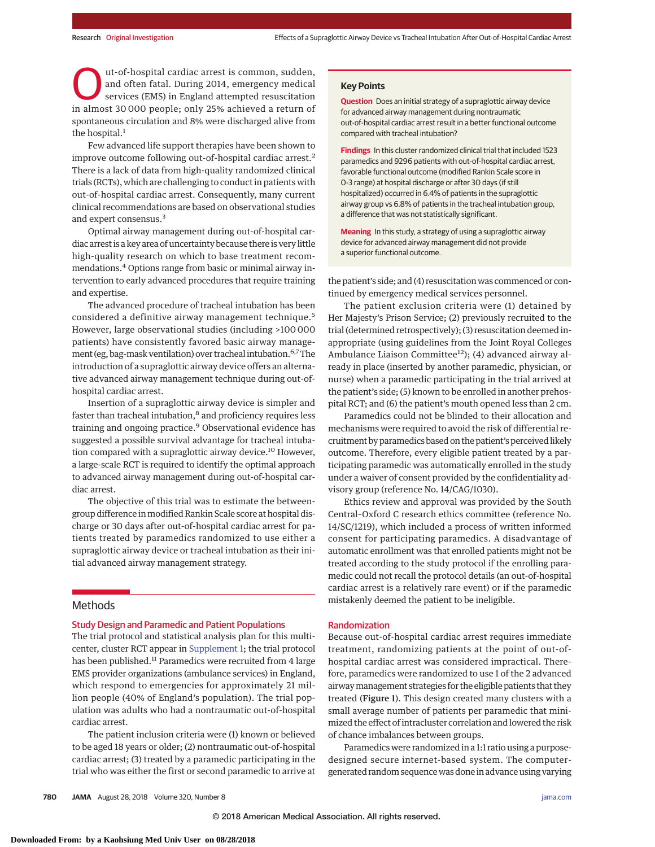ut-of-hospital cardiac arrest is common, sudden, and often fatal. During 2014, emergency medical services (EMS) in England attempted resuscitation in almost 30 000 people; only 25% achieved a return of spontaneous circulation and 8% were discharged alive from the hospital.<sup>1</sup>

Few advanced life support therapies have been shown to improve outcome following out-of-hospital cardiac arrest.<sup>2</sup> There is a lack of data from high-quality randomized clinical trials (RCTs), which are challenging to conduct in patients with out-of-hospital cardiac arrest. Consequently, many current clinical recommendations are based on observational studies and expert consensus.<sup>3</sup>

Optimal airway management during out-of-hospital cardiac arrest is a key area of uncertainty because there is very little high-quality research on which to base treatment recommendations.4 Options range from basic or minimal airway intervention to early advanced procedures that require training and expertise.

The advanced procedure of tracheal intubation has been considered a definitive airway management technique.<sup>5</sup> However, large observational studies (including >100 000 patients) have consistently favored basic airway management (eg, bag-mask ventilation) over tracheal intubation.6,7The introduction of a supraglottic airway device offers an alternative advanced airway management technique during out-ofhospital cardiac arrest.

Insertion of a supraglottic airway device is simpler and faster than tracheal intubation, $<sup>8</sup>$  and proficiency requires less</sup> training and ongoing practice.<sup>9</sup> Observational evidence has suggested a possible survival advantage for tracheal intubation compared with a supraglottic airway device.<sup>10</sup> However, a large-scale RCT is required to identify the optimal approach to advanced airway management during out-of-hospital cardiac arrest.

The objective of this trial was to estimate the betweengroup difference in modified Rankin Scale score at hospital discharge or 30 days after out-of-hospital cardiac arrest for patients treated by paramedics randomized to use either a supraglottic airway device or tracheal intubation as their initial advanced airway management strategy.

# Methods

# Study Design and Paramedic and Patient Populations

The trial protocol and statistical analysis plan for this multicenter, cluster RCT appear in [Supplement 1;](https://jama.jamanetwork.com/article.aspx?doi=10.1001/jama.2018.11597&utm_campaign=articlePDF%26utm_medium=articlePDFlink%26utm_source=articlePDF%26utm_content=jama.2018.11597) the trial protocol has been published.<sup>11</sup> Paramedics were recruited from 4 large EMS provider organizations (ambulance services) in England, which respond to emergencies for approximately 21 million people (40% of England's population). The trial population was adults who had a nontraumatic out-of-hospital cardiac arrest.

The patient inclusion criteria were (1) known or believed to be aged 18 years or older; (2) nontraumatic out-of-hospital cardiac arrest; (3) treated by a paramedic participating in the trial who was either the first or second paramedic to arrive at **Question** Does an initial strategy of a supraglottic airway device for advanced airway management during nontraumatic out-of-hospital cardiac arrest result in a better functional outcome compared with tracheal intubation?

**Findings** In this cluster randomized clinical trial that included 1523 paramedics and 9296 patients with out-of-hospital cardiac arrest, favorable functional outcome (modified Rankin Scale score in 0-3 range) at hospital discharge or after 30 days (if still hospitalized) occurred in 6.4% of patients in the supraglottic airway group vs 6.8% of patients in the tracheal intubation group, a difference that was not statistically significant.

**Meaning** In this study, a strategy of using a supraglottic airway device for advanced airway management did not provide a superior functional outcome.

the patient's side; and (4) resuscitation was commenced or continued by emergency medical services personnel.

The patient exclusion criteria were (1) detained by Her Majesty's Prison Service; (2) previously recruited to the trial (determined retrospectively); (3) resuscitation deemed inappropriate (using guidelines from the Joint Royal Colleges Ambulance Liaison Committee<sup>12</sup>); (4) advanced airway already in place (inserted by another paramedic, physician, or nurse) when a paramedic participating in the trial arrived at the patient's side; (5) known to be enrolled in another prehospital RCT; and (6) the patient's mouth opened less than 2 cm.

Paramedics could not be blinded to their allocation and mechanisms were required to avoid the risk of differential recruitment by paramedics based on the patient's perceived likely outcome. Therefore, every eligible patient treated by a participating paramedic was automatically enrolled in the study under a waiver of consent provided by the confidentiality advisory group (reference No. 14/CAG/1030).

Ethics review and approval was provided by the South Central–Oxford C research ethics committee (reference No. 14/SC/1219), which included a process of written informed consent for participating paramedics. A disadvantage of automatic enrollment was that enrolled patients might not be treated according to the study protocol if the enrolling paramedic could not recall the protocol details (an out-of-hospital cardiac arrest is a relatively rare event) or if the paramedic mistakenly deemed the patient to be ineligible.

#### Randomization

Because out-of-hospital cardiac arrest requires immediate treatment, randomizing patients at the point of out-ofhospital cardiac arrest was considered impractical. Therefore, paramedics were randomized to use 1 of the 2 advanced airwaymanagement strategies for the eligible patients that they treated (Figure 1). This design created many clusters with a small average number of patients per paramedic that minimized the effect of intracluster correlation and lowered the risk of chance imbalances between groups.

Paramedics were randomized in a 1:1 ratio using a purposedesigned secure internet-based system. The computergenerated random sequencewas done in advance using varying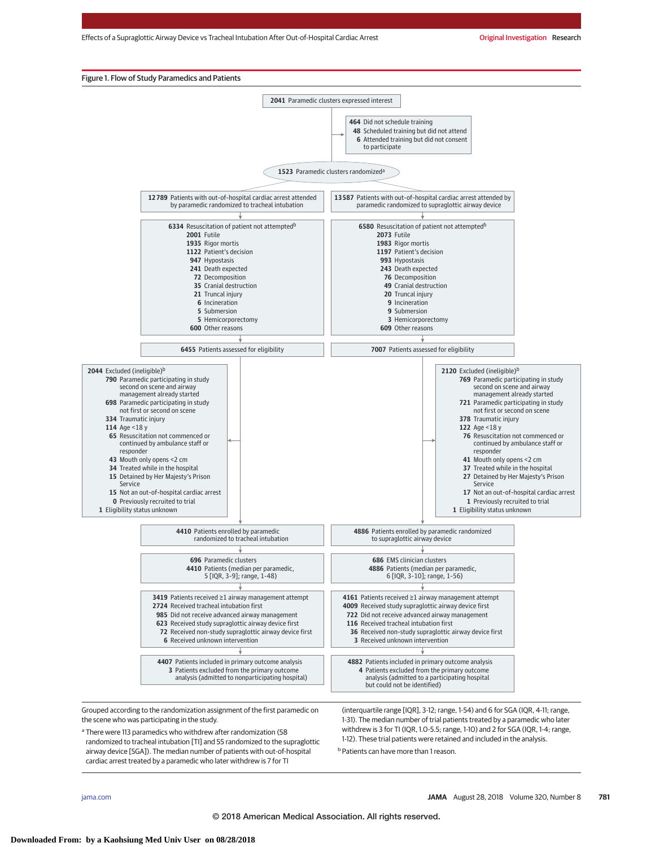

Grouped according to the randomization assignment of the first paramedic on the scene who was participating in the study.

<sup>a</sup> There were 113 paramedics who withdrew after randomization (58) randomized to tracheal intubation [TI] and 55 randomized to the supraglottic airway device [SGA]). The median number of patients with out-of-hospital cardiac arrest treated by a paramedic who later withdrew is 7 for TI

(interquartile range [IQR], 3-12; range, 1-54) and 6 for SGA (IQR, 4-11; range, 1-31). The median number of trial patients treated by a paramedic who later withdrew is 3 for TI (IQR, 1.0-5.5; range, 1-10) and 2 for SGA (IQR, 1-4; range, 1-12). These trial patients were retained and included in the analysis. **b** Patients can have more than 1 reason.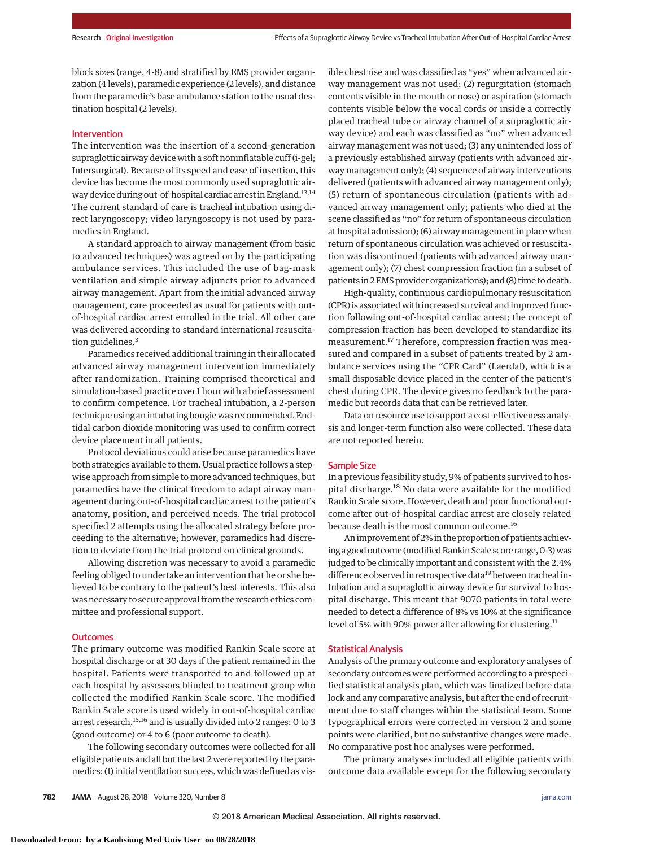block sizes (range, 4-8) and stratified by EMS provider organization (4 levels), paramedic experience (2 levels), and distance from the paramedic's base ambulance station to the usual destination hospital (2 levels).

#### Intervention

The intervention was the insertion of a second-generation supraglottic airway device with a soft noninflatable cuff (i-gel; Intersurgical). Because of its speed and ease of insertion, this device has become the most commonly used supraglottic airway device during out-of-hospital cardiac arrest in England.<sup>13,14</sup> The current standard of care is tracheal intubation using direct laryngoscopy; video laryngoscopy is not used by paramedics in England.

A standard approach to airway management (from basic to advanced techniques) was agreed on by the participating ambulance services. This included the use of bag-mask ventilation and simple airway adjuncts prior to advanced airway management. Apart from the initial advanced airway management, care proceeded as usual for patients with outof-hospital cardiac arrest enrolled in the trial. All other care was delivered according to standard international resuscitation guidelines.<sup>3</sup>

Paramedics received additional training in their allocated advanced airway management intervention immediately after randomization. Training comprised theoretical and simulation-based practice over 1 hour with a brief assessment to confirm competence. For tracheal intubation, a 2-person technique using an intubating bougiewas recommended. Endtidal carbon dioxide monitoring was used to confirm correct device placement in all patients.

Protocol deviations could arise because paramedics have both strategies available to them. Usual practice follows a stepwise approach from simple to more advanced techniques, but paramedics have the clinical freedom to adapt airway management during out-of-hospital cardiac arrest to the patient's anatomy, position, and perceived needs. The trial protocol specified 2 attempts using the allocated strategy before proceeding to the alternative; however, paramedics had discretion to deviate from the trial protocol on clinical grounds.

Allowing discretion was necessary to avoid a paramedic feeling obliged to undertake an intervention that he or she believed to be contrary to the patient's best interests. This also was necessary to secure approval from the research ethics committee and professional support.

#### **Outcomes**

The primary outcome was modified Rankin Scale score at hospital discharge or at 30 days if the patient remained in the hospital. Patients were transported to and followed up at each hospital by assessors blinded to treatment group who collected the modified Rankin Scale score. The modified Rankin Scale score is used widely in out-of-hospital cardiac arrest research, $15,16$  and is usually divided into 2 ranges: 0 to 3 (good outcome) or 4 to 6 (poor outcome to death).

The following secondary outcomes were collected for all eligible patients and all but the last 2 were reported by the paramedics: (1) initial ventilation success, which was defined as visible chest rise and was classified as "yes" when advanced airway management was not used; (2) regurgitation (stomach contents visible in the mouth or nose) or aspiration (stomach contents visible below the vocal cords or inside a correctly placed tracheal tube or airway channel of a supraglottic airway device) and each was classified as "no" when advanced airway management was not used; (3) any unintended loss of a previously established airway (patients with advanced airway management only); (4) sequence of airway interventions delivered (patients with advanced airway management only); (5) return of spontaneous circulation (patients with advanced airway management only; patients who died at the scene classified as "no" for return of spontaneous circulation at hospital admission); (6) airway management in place when return of spontaneous circulation was achieved or resuscitation was discontinued (patients with advanced airway management only); (7) chest compression fraction (in a subset of patients in 2 EMS provider organizations); and (8) time to death.

High-quality, continuous cardiopulmonary resuscitation (CPR) is associated with increased survival and improved function following out-of-hospital cardiac arrest; the concept of compression fraction has been developed to standardize its measurement.<sup>17</sup> Therefore, compression fraction was measured and compared in a subset of patients treated by 2 ambulance services using the "CPR Card" (Laerdal), which is a small disposable device placed in the center of the patient's chest during CPR. The device gives no feedback to the paramedic but records data that can be retrieved later.

Data on resource use to support a cost-effectiveness analysis and longer-term function also were collected. These data are not reported herein.

#### Sample Size

In a previous feasibility study, 9% of patients survived to hospital discharge.<sup>18</sup> No data were available for the modified Rankin Scale score. However, death and poor functional outcome after out-of-hospital cardiac arrest are closely related because death is the most common outcome.<sup>16</sup>

An improvement of 2% in the proportion of patients achieving a good outcome (modified Rankin Scale score range, 0-3) was judged to be clinically important and consistent with the 2.4% difference observed in retrospective data<sup>19</sup> between tracheal intubation and a supraglottic airway device for survival to hospital discharge. This meant that 9070 patients in total were needed to detect a difference of 8% vs 10% at the significance level of 5% with 90% power after allowing for clustering.<sup>11</sup>

# Statistical Analysis

Analysis of the primary outcome and exploratory analyses of secondary outcomes were performed according to a prespecified statistical analysis plan, which was finalized before data lock and any comparative analysis, but after the end of recruitment due to staff changes within the statistical team. Some typographical errors were corrected in version 2 and some points were clarified, but no substantive changes were made. No comparative post hoc analyses were performed.

The primary analyses included all eligible patients with outcome data available except for the following secondary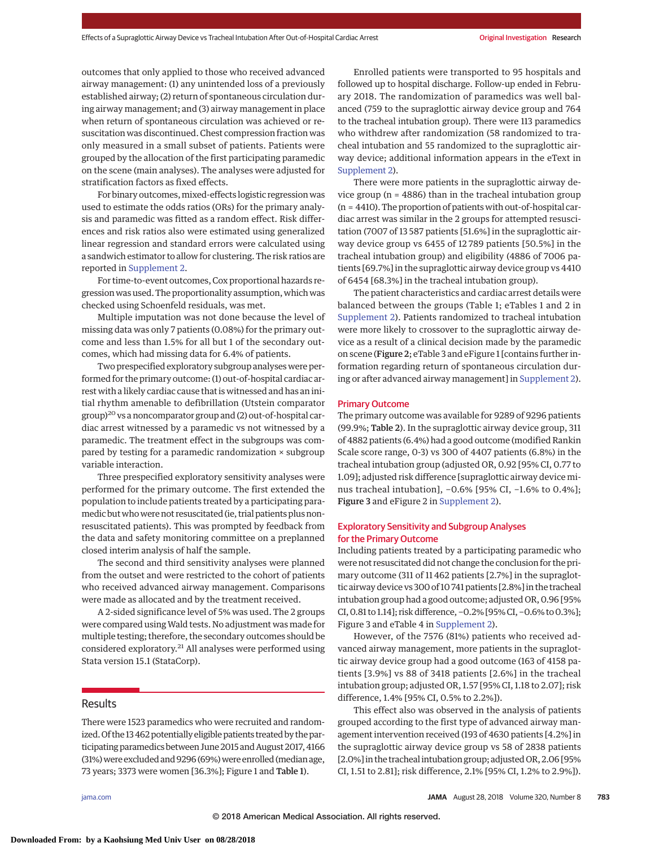outcomes that only applied to those who received advanced airway management: (1) any unintended loss of a previously established airway; (2) return of spontaneous circulation during airway management; and (3) airway management in place when return of spontaneous circulation was achieved or resuscitation was discontinued. Chest compression fraction was only measured in a small subset of patients. Patients were grouped by the allocation of the first participating paramedic on the scene (main analyses). The analyses were adjusted for stratification factors as fixed effects.

For binary outcomes, mixed-effects logistic regression was used to estimate the odds ratios (ORs) for the primary analysis and paramedic was fitted as a random effect. Risk differences and risk ratios also were estimated using generalized linear regression and standard errors were calculated using a sandwich estimator to allow for clustering. The risk ratios are reported in [Supplement 2.](https://jama.jamanetwork.com/article.aspx?doi=10.1001/jama.2018.11597&utm_campaign=articlePDF%26utm_medium=articlePDFlink%26utm_source=articlePDF%26utm_content=jama.2018.11597)

For time-to-event outcomes, Cox proportional hazards regression was used. The proportionality assumption, which was checked using Schoenfeld residuals, was met.

Multiple imputation was not done because the level of missing data was only 7 patients (0.08%) for the primary outcome and less than 1.5% for all but 1 of the secondary outcomes, which had missing data for 6.4% of patients.

Two prespecified exploratory subgroup analyses were performed for the primary outcome: (1) out-of-hospital cardiac arrest with a likely cardiac cause that is witnessed and has an initial rhythm amenable to defibrillation (Utstein comparator  $group)^{20}$  vs a noncomparator group and (2) out-of-hospital cardiac arrest witnessed by a paramedic vs not witnessed by a paramedic. The treatment effect in the subgroups was compared by testing for a paramedic randomization × subgroup variable interaction.

Three prespecified exploratory sensitivity analyses were performed for the primary outcome. The first extended the population to include patients treated by a participating paramedic but who were not resuscitated (ie, trial patients plus nonresuscitated patients). This was prompted by feedback from the data and safety monitoring committee on a preplanned closed interim analysis of half the sample.

The second and third sensitivity analyses were planned from the outset and were restricted to the cohort of patients who received advanced airway management. Comparisons were made as allocated and by the treatment received.

A 2-sided significance level of 5% was used. The 2 groups were compared usingWald tests. No adjustment was made for multiple testing; therefore, the secondary outcomes should be considered exploratory.<sup>21</sup> All analyses were performed using Stata version 15.1 (StataCorp).

# Results

There were 1523 paramedics who were recruited and randomized. Of the 13 462 potentially eligible patients treated by the participating paramedics between June 2015 and August 2017, 4166 (31%) were excluded and 9296 (69%) were enrolled (median age, 73 years; 3373 were women [36.3%]; Figure 1 and Table 1).

Enrolled patients were transported to 95 hospitals and followed up to hospital discharge. Follow-up ended in February 2018. The randomization of paramedics was well balanced (759 to the supraglottic airway device group and 764 to the tracheal intubation group). There were 113 paramedics who withdrew after randomization (58 randomized to tracheal intubation and 55 randomized to the supraglottic airway device; additional information appears in the eText in [Supplement 2\)](https://jama.jamanetwork.com/article.aspx?doi=10.1001/jama.2018.11597&utm_campaign=articlePDF%26utm_medium=articlePDFlink%26utm_source=articlePDF%26utm_content=jama.2018.11597).

There were more patients in the supraglottic airway device group (n = 4886) than in the tracheal intubation group (n = 4410). The proportion of patients with out-of-hospital cardiac arrest was similar in the 2 groups for attempted resuscitation (7007 of 13 587 patients [51.6%] in the supraglottic airway device group vs 6455 of 12 789 patients [50.5%] in the tracheal intubation group) and eligibility (4886 of 7006 patients [69.7%] in the supraglottic airway device group vs 4410 of 6454 [68.3%] in the tracheal intubation group).

The patient characteristics and cardiac arrest details were balanced between the groups (Table 1; eTables 1 and 2 in [Supplement 2\)](https://jama.jamanetwork.com/article.aspx?doi=10.1001/jama.2018.11597&utm_campaign=articlePDF%26utm_medium=articlePDFlink%26utm_source=articlePDF%26utm_content=jama.2018.11597). Patients randomized to tracheal intubation were more likely to crossover to the supraglottic airway device as a result of a clinical decision made by the paramedic on scene (Figure 2; eTable 3 and eFigure 1 [contains further information regarding return of spontaneous circulation during or after advanced airway management] in [Supplement 2\)](https://jama.jamanetwork.com/article.aspx?doi=10.1001/jama.2018.11597&utm_campaign=articlePDF%26utm_medium=articlePDFlink%26utm_source=articlePDF%26utm_content=jama.2018.11597).

#### Primary Outcome

The primary outcome was available for 9289 of 9296 patients (99.9%; Table 2). In the supraglottic airway device group, 311 of 4882 patients (6.4%) had a good outcome (modified Rankin Scale score range, 0-3) vs 300 of 4407 patients (6.8%) in the tracheal intubation group (adjusted OR, 0.92 [95% CI, 0.77 to 1.09]; adjusted risk difference [supraglottic airway device minus tracheal intubation], −0.6% [95% CI, −1.6% to 0.4%]; Figure 3 and eFigure 2 in [Supplement 2\)](https://jama.jamanetwork.com/article.aspx?doi=10.1001/jama.2018.11597&utm_campaign=articlePDF%26utm_medium=articlePDFlink%26utm_source=articlePDF%26utm_content=jama.2018.11597).

# Exploratory Sensitivity and Subgroup Analyses for the Primary Outcome

Including patients treated by a participating paramedic who were not resuscitated did not change the conclusion for the primary outcome (311 of 11 462 patients [2.7%] in the supraglottic airway device vs 300 of 10 741 patients [2.8%] in the tracheal intubation group had a good outcome; adjusted OR, 0.96 [95% CI, 0.81 to 1.14]; risk difference, −0.2% [95% CI, −0.6% to 0.3%]; Figure 3 and eTable 4 in [Supplement 2\)](https://jama.jamanetwork.com/article.aspx?doi=10.1001/jama.2018.11597&utm_campaign=articlePDF%26utm_medium=articlePDFlink%26utm_source=articlePDF%26utm_content=jama.2018.11597).

However, of the 7576 (81%) patients who received advanced airway management, more patients in the supraglottic airway device group had a good outcome (163 of 4158 patients [3.9%] vs 88 of 3418 patients [2.6%] in the tracheal intubation group; adjusted OR, 1.57 [95% CI, 1.18 to 2.07]; risk difference, 1.4% [95% CI, 0.5% to 2.2%]).

This effect also was observed in the analysis of patients grouped according to the first type of advanced airway management intervention received (193 of 4630 patients [4.2%] in the supraglottic airway device group vs 58 of 2838 patients [2.0%] in the tracheal intubation group; adjusted OR, 2.06 [95% CI, 1.51 to 2.81]; risk difference, 2.1% [95% CI, 1.2% to 2.9%]).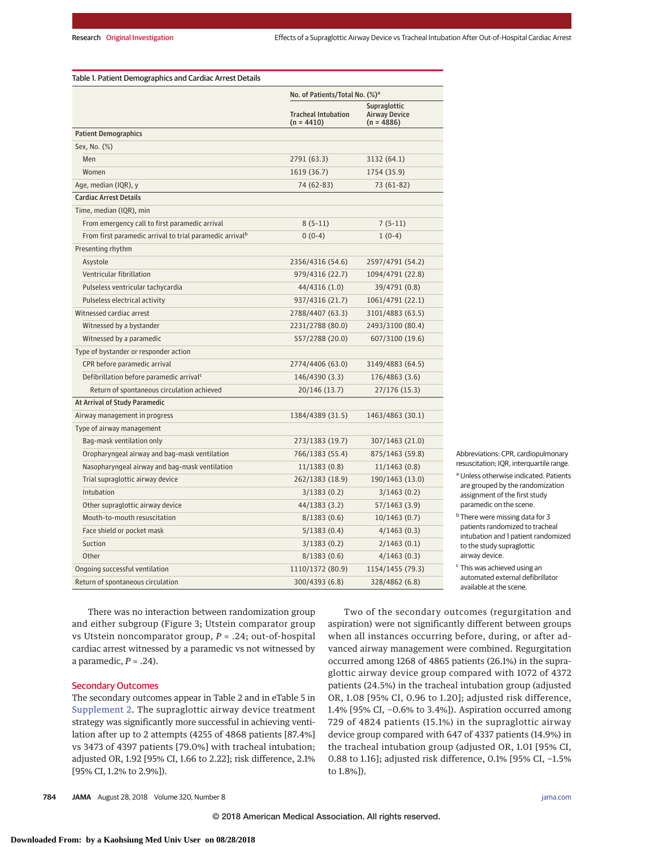|                                                                      | No. of Patients/Total No. (%) <sup>a</sup> |                                                      |
|----------------------------------------------------------------------|--------------------------------------------|------------------------------------------------------|
|                                                                      | <b>Tracheal Intubation</b><br>$(n = 4410)$ | Supraglottic<br><b>Airway Device</b><br>$(n = 4886)$ |
| <b>Patient Demographics</b>                                          |                                            |                                                      |
| Sex, No. (%)                                                         |                                            |                                                      |
| Men                                                                  | 2791 (63.3)                                | 3132 (64.1)                                          |
| Women                                                                | 1619 (36.7)                                | 1754 (35.9)                                          |
| Age, median (IQR), y                                                 | 74 (62-83)                                 | 73 (61-82)                                           |
| <b>Cardiac Arrest Details</b>                                        |                                            |                                                      |
| Time, median (IQR), min                                              |                                            |                                                      |
| From emergency call to first paramedic arrival                       | $8(5-11)$                                  | $7(5-11)$                                            |
| From first paramedic arrival to trial paramedic arrival <sup>b</sup> | $0(0-4)$                                   | $1(0-4)$                                             |
| Presenting rhythm                                                    |                                            |                                                      |
| Asystole                                                             | 2356/4316 (54.6)                           | 2597/4791 (54.2)                                     |
| Ventricular fibrillation                                             | 979/4316 (22.7)                            | 1094/4791 (22.8)                                     |
| Pulseless ventricular tachycardia                                    | 44/4316 (1.0)                              | 39/4791 (0.8)                                        |
| Pulseless electrical activity                                        | 937/4316 (21.7)                            | 1061/4791 (22.1)                                     |
| Witnessed cardiac arrest                                             | 2788/4407 (63.3)                           | 3101/4883 (63.5)                                     |
| Witnessed by a bystander                                             | 2231/2788 (80.0)                           | 2493/3100 (80.4)                                     |
| Witnessed by a paramedic                                             | 557/2788 (20.0)                            | 607/3100 (19.6)                                      |
| Type of bystander or responder action                                |                                            |                                                      |
| CPR before paramedic arrival                                         | 2774/4406 (63.0)                           | 3149/4883 (64.5)                                     |
| Defibrillation before paramedic arrival <sup>c</sup>                 | 146/4390 (3.3)                             | 176/4863 (3.6)                                       |
| Return of spontaneous circulation achieved                           | 20/146 (13.7)                              | 27/176 (15.3)                                        |
| At Arrival of Study Paramedic                                        |                                            |                                                      |
| Airway management in progress                                        | 1384/4389 (31.5)                           | 1463/4863 (30.1)                                     |
| Type of airway management                                            |                                            |                                                      |
| Bag-mask ventilation only                                            | 273/1383 (19.7)                            | 307/1463 (21.0)                                      |
| Oropharyngeal airway and bag-mask ventilation                        | 766/1383 (55.4)                            | 875/1463 (59.8)                                      |
| Nasopharyngeal airway and bag-mask ventilation                       | 11/1383(0.8)                               | 11/1463(0.8)                                         |
| Trial supraglottic airway device                                     | 262/1383 (18.9)                            | 190/1463 (13.0)                                      |
| Intubation                                                           | 3/1383(0.2)                                | 3/1463(0.2)                                          |
| Other supraglottic airway device                                     | 44/1383 (3.2)                              | 57/1463 (3.9)                                        |
| Mouth-to-mouth resuscitation                                         | 8/1383(0.6)                                | 10/1463(0.7)                                         |
| Face shield or pocket mask                                           | 5/1383(0.4)                                | 4/1463(0.3)                                          |
| Suction                                                              | 3/1383(0.2)                                | 2/1463(0.1)                                          |
| Other                                                                | 8/1383(0.6)                                | 4/1463(0.3)                                          |
| Ongoing successful ventilation                                       | 1110/1372 (80.9)                           | 1154/1455 (79.3)                                     |
| Return of spontaneous circulation                                    | 300/4393 (6.8)                             | 328/4862 (6.8)                                       |

Abbreviations: CPR, cardiopulmonary resuscitation; IQR, interquartile range.

<sup>a</sup> Unless otherwise indicated. Patients are grouped by the randomization assignment of the first study paramedic on the scene.

<sup>b</sup> There were missing data for 3 patients randomized to tracheal intubation and 1 patient randomized to the study supraglottic airway device.

<sup>c</sup> This was achieved using an automated external defibrillator available at the scene.

There was no interaction between randomization group and either subgroup (Figure 3; Utstein comparator group vs Utstein noncomparator group, *P* = .24; out-of-hospital cardiac arrest witnessed by a paramedic vs not witnessed by a paramedic,  $P = .24$ ).

# Secondary Outcomes

The secondary outcomes appear in Table 2 and in eTable 5 in [Supplement 2.](https://jama.jamanetwork.com/article.aspx?doi=10.1001/jama.2018.11597&utm_campaign=articlePDF%26utm_medium=articlePDFlink%26utm_source=articlePDF%26utm_content=jama.2018.11597) The supraglottic airway device treatment strategy was significantly more successful in achieving ventilation after up to 2 attempts (4255 of 4868 patients [87.4%] vs 3473 of 4397 patients [79.0%] with tracheal intubation; adjusted OR, 1.92 [95% CI, 1.66 to 2.22]; risk difference, 2.1% [95% CI, 1.2% to 2.9%]).

aspiration) were not significantly different between groups when all instances occurring before, during, or after advanced airway management were combined. Regurgitation occurred among 1268 of 4865 patients (26.1%) in the supraglottic airway device group compared with 1072 of 4372 patients (24.5%) in the tracheal intubation group (adjusted OR, 1.08 [95% CI, 0.96 to 1.20]; adjusted risk difference, 1.4% [95% CI, −0.6% to 3.4%]). Aspiration occurred among 729 of 4824 patients (15.1%) in the supraglottic airway device group compared with 647 of 4337 patients (14.9%) in the tracheal intubation group (adjusted OR, 1.01 [95% CI, 0.88 to 1.16]; adjusted risk difference, 0.1% [95% CI, −1.5% to 1.8%]).

Two of the secondary outcomes (regurgitation and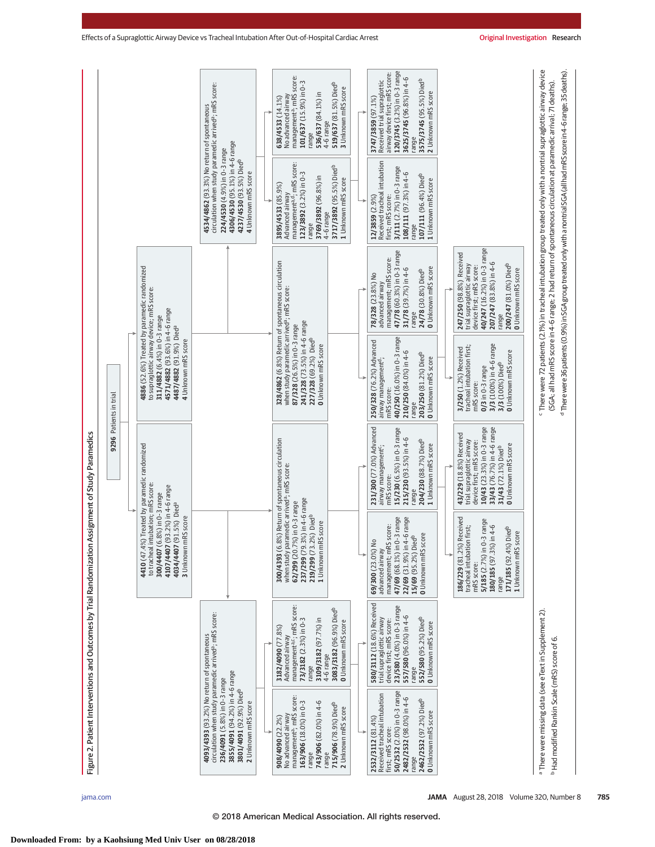|                                                                    |                        |                                                                                                                                                                                                                   | <b>4534/4862</b> (93.3%) No return of spontaneous<br>circulation when study paramedic arrived <sup>a</sup> ; mRS score:<br>4306/4530 (95.1%) in 4-6 range<br>4237/4530 (93.5%) Died <sup>b</sup><br>224/4530 (4.9%) in 0-3 range<br>4 Unknown mRS score | management <sup>a</sup> ; mRS score:<br>101/637 (15.9%) in 0-3<br>536/637 (84.1%) in<br>No advanced airway<br>638/4533 (14.1%)<br>4-6 range<br>range<br>Advanced airway<br>management <sup>a, d</sup> ; mRS score:<br>123/3892 (3.2%) in 0-3<br>3769/3892 (96.8%) in<br>3895/4533 (85.9%)<br>4-6 range | 519/637 (81.5%) Diedb<br>3 Unknown mRS score<br>3717/3892 (95.5%) Diedb<br>1 Unknown mRS score | 120/3745 (3.2%) in 0-3 range<br>airway device first; mRS score:<br>3625/3745 (96.8%) in 4-6<br>Received trial supraglottic<br>3575/3745 (95.5%) Diedb<br>2 Unknown mRS score<br>3747/3859 (97.1%)<br>range<br>Received tracheal intubation<br>first; mRS score:<br>3/111 (2.7%) in 0-3 range<br>108/111 (97.3%) in 4-6<br>107/111 (96.4%) Diedb<br>1 Unknown mRS score<br>12/3859 (2.9%) |                                                                                                                                                                                                            |  |
|--------------------------------------------------------------------|------------------------|-------------------------------------------------------------------------------------------------------------------------------------------------------------------------------------------------------------------|---------------------------------------------------------------------------------------------------------------------------------------------------------------------------------------------------------------------------------------------------------|--------------------------------------------------------------------------------------------------------------------------------------------------------------------------------------------------------------------------------------------------------------------------------------------------------|------------------------------------------------------------------------------------------------|------------------------------------------------------------------------------------------------------------------------------------------------------------------------------------------------------------------------------------------------------------------------------------------------------------------------------------------------------------------------------------------|------------------------------------------------------------------------------------------------------------------------------------------------------------------------------------------------------------|--|
|                                                                    |                        |                                                                                                                                                                                                                   |                                                                                                                                                                                                                                                         | range                                                                                                                                                                                                                                                                                                  |                                                                                                | range<br>47/78 (60.3%) in 0-3 range<br>management; mRS score:<br>O Unknown mRS score<br>31/78 (39.7%) in 4-6<br>24/78 (30.8%) Died <sup>b</sup><br>78/328 (23.8%) No<br>advanced airway<br>range                                                                                                                                                                                         | 40/247 (16.2%) in 0-3 range<br>247/250 (98.8%) Received<br>207/247 (83.8%) in 4-6<br>200/247 (81.0%) Diedb<br>trial supraglottic airway<br>device first; mRS score:<br><b>O</b> Unknown mRS score<br>range |  |
|                                                                    | 9296 Patients in trial | 4886 (52.6%) Treated by paramedic randomized<br>to supraglottic airway device; mRS score:<br>4571/4882 (93.6%) in 4-6 range<br>311/4882 (6.4%) in 0-3 range<br>4487/4882 (91.9%) Dieda<br>4 Unknown mRS score     |                                                                                                                                                                                                                                                         | 328/4862 (6.8%) Return of spontaneous circulation<br>when study paramedic arrived <sup>a</sup> ; mRS score:<br>241/328 (73.5%) in 4-6 range<br>87/328 (26.5%) in 0-3 range<br>227/328 (69.2%) Diedb<br><b>O</b> Unknown mRS score                                                                      |                                                                                                | 40/250 (16.0%) in 0-3 range<br>250/328 (76.2%) Advanced<br>210/250 (84.0%) in 4-6<br>203/250 (81.2%) Diedb<br><b>O</b> Unknown mRS score<br>airway management <sup>d</sup> ;<br>mRS score:<br>range                                                                                                                                                                                      | 3/3 (100%) in 4-6 range<br>tracheal intubation first;<br>3/250 (1.2%) Received<br><b>0</b> Unknown mRS score<br>3/3 (100%) Died <sup>b</sup><br>$0/3$ in $0-3$ range<br>mRS score:                         |  |
| n Assignment of Study Paramedics                                   |                        | %) Treated by paramedic randomized                                                                                                                                                                                |                                                                                                                                                                                                                                                         | 300/4393 (6.8%) Return of spontaneous circulation                                                                                                                                                                                                                                                      |                                                                                                | 231/300 (77.0%) Advanced<br>15/230 (6.5%) in 0-3 range<br>215/230 (93.5%) in 4-6<br>204/230 (88.7%) Diedb<br>1 Unknown mRS score<br>airway management <sup>c</sup> ;<br>mRS score:<br>range                                                                                                                                                                                              | 33/43 (76.7%) in 4-6 range<br>10/43 (23.3%) in 0-3 range<br>43/229 (18.8%) Received<br>trial supraglottic airway<br>device first; mRS score:<br>O Unknown mRS score<br>31/43 (72.1%) Died <sup>b</sup>     |  |
|                                                                    |                        | intubation; mRS score:<br>1 (93.2%) in 4-6 range<br>$(6.8\%)$ in 0-3 range<br><sup>7</sup> (91.5%) Died <sup>a</sup><br>ImRS score<br>4410 (47.4<br>to tracheal<br>4107/440<br>4034/4407<br>3 Unknown<br>300/4407 |                                                                                                                                                                                                                                                         | when study paramedic arrived <sup>a</sup> ; mRS score:<br>237/299 (79.3%) in 4-6 range<br>62/299 (20.7%) in 0-3 range<br>.2%) Diedb<br>1 Unknown mRS score<br>219/299 (73                                                                                                                              |                                                                                                | 47/69 (68.1%) in 0-3 range<br>22/69 (31.9%) in 4-6 range<br>RS score:<br>score<br>15/69 (95.2%) Died <sup>b</sup><br>69/300 (23.0%) No<br>management; mF<br><b>0</b> Unknown mRS<br>advanced airway                                                                                                                                                                                      | 186/229 (81.2%) Received<br>5/185 (2.7%) in 0-3 range<br>tracheal intubation first;<br>180/185 (97.3%) in 4-6<br>171/185 (92.4%) Died <sup>b</sup><br>score<br>1 Unknown mRS<br>mRS score:<br>range        |  |
| Figure 2. Patient Interventions and Outcomes by Trial Randomizatio |                        |                                                                                                                                                                                                                   | <b>4093/4393</b> (93.2%) No return of spontaneous<br>circulation when study paramedic arrived <sup>a</sup> ; mRS score:                                                                                                                                 | managementa, mRS score:<br>73/3182 (2.3%) in 0-3<br>3109/3182 (97.7%) in<br>3182/4090 (77.8%)<br>Advanced airway<br>4-6 range<br>range                                                                                                                                                                 | 3083/3182 (96.9%) Diedb<br>O Unknown mRS score                                                 | 580/3112 (18.6%) Received<br>23/580 (4.0%) in 0-3 range<br>557/580 (96.0%) in 4-6<br>552/580 (95.2%) Diedb<br>trial supraglottic airway<br>device first; mRS score:<br><b>O</b> Unknown mRS score<br>range                                                                                                                                                                               |                                                                                                                                                                                                            |  |
|                                                                    |                        |                                                                                                                                                                                                                   | 3855/4091 (94.2%) in 4-6 range<br>236/4091 (5.8%) in 0-3 range<br>3801/4091 (92.9%) Diedb<br>2 Unknown mRS score                                                                                                                                        | management <sup>a</sup> ; mRS score:<br>743/906 (82.0%) in 4-6<br>163/906 (18.0%) in 0-3<br>No advanced airway<br>908/4090 (22.2%)<br>range<br>range                                                                                                                                                   | 715/906 (78.9%) Diedb<br>2 Unknown mRS score                                                   | 50/2532 (2.0%) in 0-3 range<br>Received tracheal intubation<br>first; mRS score:<br>2482/2532 (98.0%) in 4-6<br>2462/2532 (97.2%) Diedb<br><b>O</b> Unknown mRS score<br>2532/3112 (81.4%)<br>range                                                                                                                                                                                      |                                                                                                                                                                                                            |  |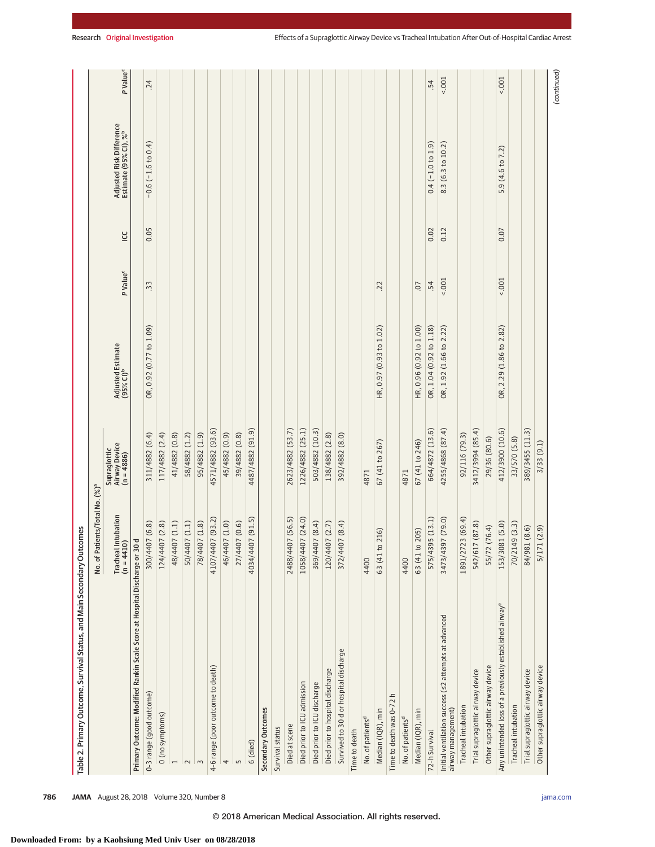| Table 2. Primary Outcome, Survival Status, and Main Secondary Outcomes     |                                                                                         |                                             |                                            |                      |      |                                                               |                      |
|----------------------------------------------------------------------------|-----------------------------------------------------------------------------------------|---------------------------------------------|--------------------------------------------|----------------------|------|---------------------------------------------------------------|----------------------|
|                                                                            | No. of Patients/Total No. (%) <sup>a</sup>                                              |                                             |                                            |                      |      |                                                               |                      |
|                                                                            | Intubation<br>(0)<br>$\begin{array}{c} \text{Trached} \\ \text{(n = 441C)} \end{array}$ | Airway Device<br>(n = 4886)<br>Supraglottic | Adjusted Estimate<br>(95% CI) <sup>b</sup> | P Value <sup>c</sup> | LCC  | Adjusted Risk Difference<br>Estimate (95% CI), % <sup>b</sup> | P Value <sup>c</sup> |
| Primary Outcome: Modified Rankin Scale Score at Hospital Discharge or 30 d |                                                                                         |                                             |                                            |                      |      |                                                               |                      |
| 0-3 range (good outcome)                                                   | 300/4407 (6.8)                                                                          | 311/4882 (6.4)                              | OR, 0.92 (0.77 to 1.09)                    | 33                   | 0.05 | $-0.6$ $(-1.6$ to $0.4)$                                      | .24                  |
| (no symptoms)                                                              | 124/4407 (2.8)                                                                          | 117/4882 (2.4)                              |                                            |                      |      |                                                               |                      |
| $\overline{ }$                                                             | 48/4407 (1.1)                                                                           | 41/4882 (0.8)                               |                                            |                      |      |                                                               |                      |
| $\sim$                                                                     | 50/4407 (1.1)                                                                           | 58/4882 (1.2)                               |                                            |                      |      |                                                               |                      |
| 3                                                                          | 78/4407 (1.8)                                                                           | 95/4882 (1.9)                               |                                            |                      |      |                                                               |                      |
| 4-6 range (poor outcome to death)                                          | 4107/4407 (93.2)                                                                        | 4571/4882 (93.6)                            |                                            |                      |      |                                                               |                      |
| 4                                                                          | 46/4407 (1.0)                                                                           | 45/4882 (0.9)                               |                                            |                      |      |                                                               |                      |
| $\mathsf{L}\cap$                                                           | 27/4407 (0.6)                                                                           | 39/4882 (0.8)                               |                                            |                      |      |                                                               |                      |
| 6 (died)                                                                   | 4034/4407 (91.5)                                                                        | 4487/4882 (91.9)                            |                                            |                      |      |                                                               |                      |
| Secondary Outcomes                                                         |                                                                                         |                                             |                                            |                      |      |                                                               |                      |
| Survival status                                                            |                                                                                         |                                             |                                            |                      |      |                                                               |                      |
| Died at scene                                                              | 2488/4407 (56.5)                                                                        | 2623/4882 (53.7)                            |                                            |                      |      |                                                               |                      |
| Died prior to ICU admission                                                | 1058/4407 (24.0)                                                                        | 1226/4882 (25.1)                            |                                            |                      |      |                                                               |                      |
| Died prior to ICU discharge                                                | 369/4407 (8.4)                                                                          | 503/4882 (10.3)                             |                                            |                      |      |                                                               |                      |
| Died prior to hospital discharge                                           | 120/4407 (2.7)                                                                          | 138/4882 (2.8)                              |                                            |                      |      |                                                               |                      |
| Survived to 30 d or hospital discharge                                     | 372/4407 (8.4)                                                                          | 392/4882 (8.0)                              |                                            |                      |      |                                                               |                      |
| Time to death                                                              |                                                                                         |                                             |                                            |                      |      |                                                               |                      |
| No. of patients <sup>d</sup>                                               | 4400                                                                                    | 4871                                        |                                            |                      |      |                                                               |                      |
| Median (IQR), min                                                          | 63 (41 to 216)                                                                          | 67 (41 to 267)                              | HR, 0.97 (0.93 to 1.02)                    | .22                  |      |                                                               |                      |
| Time to death was 0-72 h                                                   |                                                                                         |                                             |                                            |                      |      |                                                               |                      |
| No. of patients <sup>d</sup>                                               | 4400                                                                                    | 4871                                        |                                            |                      |      |                                                               |                      |
| Median (IQR), min                                                          | 63 (41 to 205)                                                                          | 67 (41 to 246)                              | HR, 0.96 (0.92 to 1.00)                    | $\overline{0}$       |      |                                                               |                      |
| 72-h Survival                                                              | 575/4395 (13.1)                                                                         | 664/4872 (13.6)                             | OR, 1.04 (0.92 to 1.18)                    | .54                  | 0.02 | $0.4$ (-1.0 to 1.9)                                           | .54                  |
| Initial ventilation success (s2 attempts at advanced<br>airway management) | 3473/4397 (79.0)                                                                        | 4255/4868 (87.4)                            | OR, 1.92 (1.66 to 2.22)                    | 5001                 | 0.12 | 8.3 (6.3 to 10.2)                                             | 5001                 |
| Tracheal intubation                                                        | 23 (69.4)<br>1891/27                                                                    | 92/116 (79.3)                               |                                            |                      |      |                                                               |                      |
| Trial supraglottic airway device                                           | 542/617 (87.8)                                                                          | 3412/3994 (85.4)                            |                                            |                      |      |                                                               |                      |
| Other supraglottic airway device                                           | 55/72 (76.4)                                                                            | 29/36 (80.6)                                |                                            |                      |      |                                                               |                      |
| Any unintended loss of a previously established airway <sup>e</sup>        | 153/3081 (5.0)                                                                          | 412/3900 (10.6)                             | OR, 2.29 (1.86 to 2.82)                    | 5001                 | 0.07 | 5.9 (4.6 to 7.2)                                              | 1001                 |
| Tracheal intubation                                                        | 70/2149 (3.3)                                                                           | 33/570 (5.8)                                |                                            |                      |      |                                                               |                      |
| Trial supraglottic airway device                                           | 84/981 (8.6)                                                                            | 389/3455 (11.3)                             |                                            |                      |      |                                                               |                      |
| Other supraglottic airway device                                           | 5/171 (2.9)                                                                             | 3/33 (9.1)                                  |                                            |                      |      |                                                               |                      |
|                                                                            |                                                                                         |                                             |                                            |                      |      |                                                               | (continued)          |

**786 JAMA** August 28, 2018 Volume 320, Number 8 **(Reprinted)** [jama.com](http://www.jama.com/?utm_campaign=articlePDF%26utm_medium=articlePDFlink%26utm_source=articlePDF%26utm_content=jama.2018.11597)

© 2018 American Medical Association. All rights reserved.

**Downloaded From: by a Kaohsiung Med Univ User on 08/28/2018**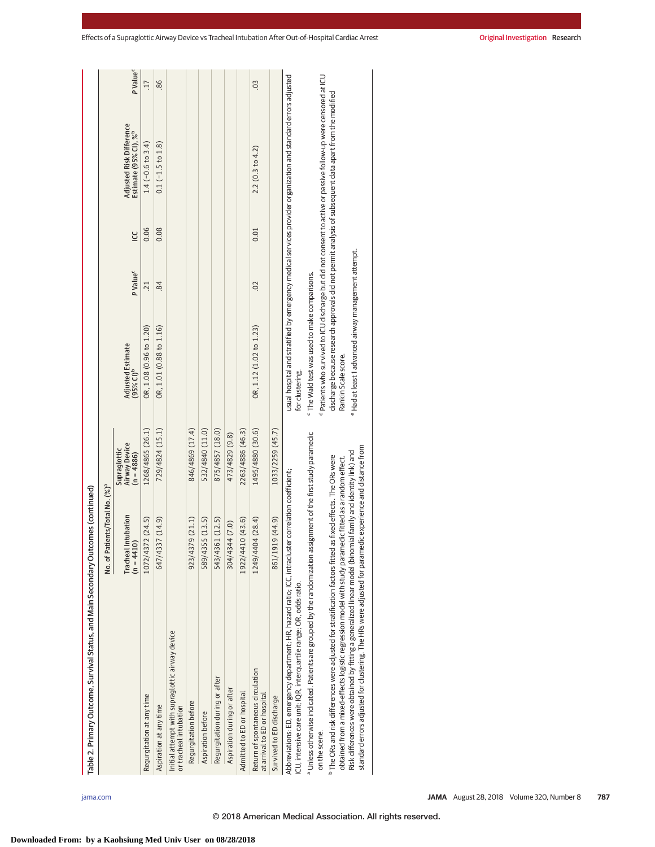| Table 2. Primary Outcome, Survival Status, and Main Secondary Outcomes (continued)                                                                                                                                                                                                                                                                                                                                                                               |                                            |                                                      |                                                                             |                      |          |                                                                                                                             |                      |
|------------------------------------------------------------------------------------------------------------------------------------------------------------------------------------------------------------------------------------------------------------------------------------------------------------------------------------------------------------------------------------------------------------------------------------------------------------------|--------------------------------------------|------------------------------------------------------|-----------------------------------------------------------------------------|----------------------|----------|-----------------------------------------------------------------------------------------------------------------------------|----------------------|
|                                                                                                                                                                                                                                                                                                                                                                                                                                                                  | No. of Patients/Total No. (%) <sup>ª</sup> |                                                      |                                                                             |                      |          |                                                                                                                             |                      |
|                                                                                                                                                                                                                                                                                                                                                                                                                                                                  | <b>Tracheal Intubation</b><br>$(n = 4410)$ | <b>Airway Device</b><br>Supraglottic<br>$(n = 4886)$ | Adjusted Estimate<br>(95% CI) <sup>b</sup>                                  | P Value <sup>c</sup> | <u>ں</u> | Adjusted Risk Difference<br>Estimate (95% CI), % <sup>b</sup>                                                               | P Value <sup>c</sup> |
| Regurgitation at any time                                                                                                                                                                                                                                                                                                                                                                                                                                        | 1072/4372 (24.5)                           | 1268/4865 (26.1)                                     | OR, 1.08 (0.96 to 1.20)                                                     | 21                   | 0.06     | $1.4$ (-0.6 to 3.4)                                                                                                         | 17                   |
| Aspiration at any time                                                                                                                                                                                                                                                                                                                                                                                                                                           | 647/4337 (14.9)                            | 729/4824 (15.1)                                      | OR, 1.01 (0.88 to 1.16)                                                     | 84                   | 0.08     | $0.1$ ( $-1.5$ to $1.8$ )                                                                                                   | 86                   |
| Initial attempt with supraglottic airway device<br>or tracheal intubation                                                                                                                                                                                                                                                                                                                                                                                        |                                            |                                                      |                                                                             |                      |          |                                                                                                                             |                      |
| Regurgitation before                                                                                                                                                                                                                                                                                                                                                                                                                                             | 923/4379 (21.1)                            | 846/4869 (17.4)                                      |                                                                             |                      |          |                                                                                                                             |                      |
| Aspiration before                                                                                                                                                                                                                                                                                                                                                                                                                                                | 589/4355 (13.5)                            | 532/4840 (11.0)                                      |                                                                             |                      |          |                                                                                                                             |                      |
| Regurgitation during or after                                                                                                                                                                                                                                                                                                                                                                                                                                    | 543/4361 (12.5)                            | 875/4857 (18.0)                                      |                                                                             |                      |          |                                                                                                                             |                      |
| Aspiration during or after                                                                                                                                                                                                                                                                                                                                                                                                                                       | 304/4344 (7.0)                             | 473/4829 (9.8)                                       |                                                                             |                      |          |                                                                                                                             |                      |
| Admitted to ED or hospital                                                                                                                                                                                                                                                                                                                                                                                                                                       | 1922/4410 (43.6)                           | 2263/4886 (46.3)                                     |                                                                             |                      |          |                                                                                                                             |                      |
| Return of spontaneous circulation<br>at arrival to ED or hospital                                                                                                                                                                                                                                                                                                                                                                                                | 1249/4404 (28.4)                           | 1495/4880 (30.6)                                     | OR, 1.12 (1.02 to 1.23)                                                     | 02                   | 0.01     | 2.2(0.3 to 4.2)                                                                                                             | $\overline{0}$       |
| Survived to ED discharge                                                                                                                                                                                                                                                                                                                                                                                                                                         | 861/1919 (44.9)                            | 1033/2259 (45.7)                                     |                                                                             |                      |          |                                                                                                                             |                      |
| Abbreviations: ED, emergency department; HR, hazard ratio; ICC, intracluster correlation coefficient;<br>ICU, intensive care unit; IQR, interquartile range; OR, odds ratio.                                                                                                                                                                                                                                                                                     |                                            |                                                      | for clustering.                                                             |                      |          | usual hospital and stratified by emergency medical services provider organization and standard errors adjusted              |                      |
| a Unless otherwise indicated. Patients are grouped by the randomization assignment of the first study paramedic<br>on the scene.                                                                                                                                                                                                                                                                                                                                 |                                            |                                                      | <sup>c</sup> The Wald test was used to make comparisons.                    |                      |          | <sup>d</sup> Patients who survived to ICU discharge but did not consent to active or passive follow-up were censored at ICU |                      |
| standard errors adjusted for clustering. The HRs were adjusted for paramedic experience and distance from<br>Risk differences were obtained by fitting a generalized linear model (binomial family and identity link) and<br><sup>b</sup> The ORs and risk differences were adjusted for stratification factors fitted as fixed effects. The ORs were<br>obtained from a mixed-effects logistic regression model with study paramedic fitted as a random effect. |                                            |                                                      | e Had at least 1 advanced airway management attempt.<br>Rankin Scale score. |                      |          | discharge because research approvals did not permit analysis of subsequent data apart from the modified                     |                      |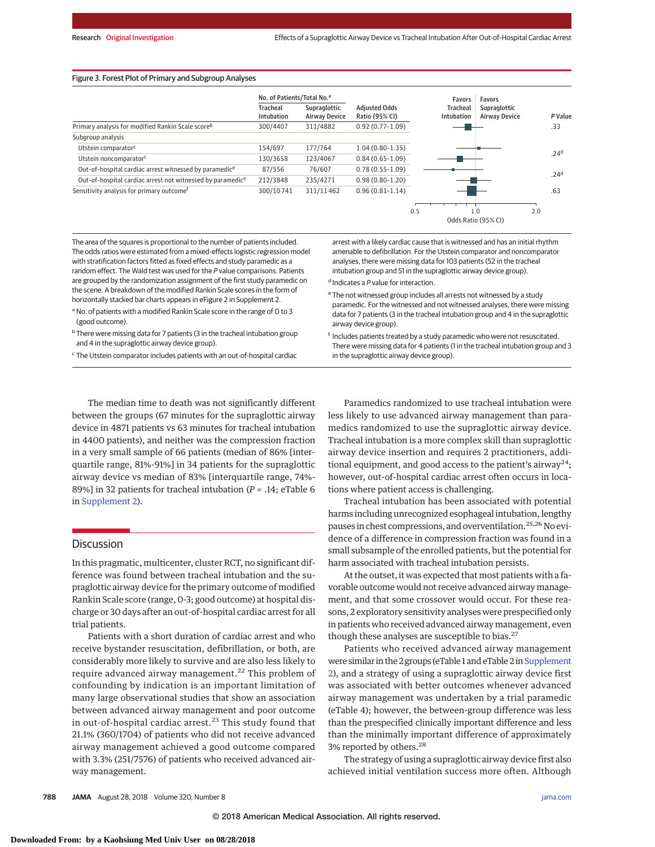### Figure 3. Forest Plot of Primary and Subgroup Analyses

|                                                                    | No. of Patients/Total No. <sup>a</sup> |                                      |                                        | Favors                        | Favors                               |                  |  |
|--------------------------------------------------------------------|----------------------------------------|--------------------------------------|----------------------------------------|-------------------------------|--------------------------------------|------------------|--|
|                                                                    | <b>Tracheal</b><br><b>Intubation</b>   | Supraglottic<br><b>Airway Device</b> | <b>Adiusted Odds</b><br>Ratio (95% CI) | <b>Tracheal</b><br>Intubation | Supraglottic<br><b>Airway Device</b> | P Value          |  |
| Primary analysis for modified Rankin Scale scoreb                  | 300/4407                               | 311/4882                             | $0.92(0.77-1.09)$                      |                               |                                      | .33              |  |
| Subgroup analysis                                                  |                                        |                                      |                                        |                               |                                      |                  |  |
| Utstein comparator <sup>c</sup>                                    | 154/697                                | 177/764                              | $1.04(0.80-1.35)$                      |                               |                                      |                  |  |
| Utstein noncomparator <sup>c</sup>                                 | 130/3658                               | 123/4067                             | $0.84(0.65-1.09)$                      |                               |                                      | .24 <sup>d</sup> |  |
| Out-of-hospital cardiac arrest witnessed by paramedic <sup>e</sup> | 87/556                                 | 76/607                               | $0.78(0.55 - 1.09)$                    |                               |                                      |                  |  |
| Out-of-hospital cardiac arrest not witnessed by paramedice         | 212/3848                               | 235/4271                             | $0.98(0.80-1.20)$                      |                               |                                      | .24 <sup>d</sup> |  |
| Sensitivity analysis for primary outcome <sup>f</sup>              | 300/10741                              | 311/11462                            | $0.96(0.81-1.14)$                      |                               |                                      | .63              |  |
|                                                                    |                                        |                                      |                                        |                               |                                      |                  |  |
|                                                                    |                                        |                                      |                                        | 0.5                           | 1.0                                  | 2.0              |  |

The area of the squares is proportional to the number of patients included. The odds ratios were estimated from a mixed-effects logistic regression model with stratification factors fitted as fixed effects and study paramedic as a random effect. The Wald test was used for the P value comparisons. Patients are grouped by the randomization assignment of the first study paramedic on the scene. A breakdown of the modified Rankin Scale scores in the form of horizontally stacked bar charts appears in eFigure 2 in Supplement 2.

<sup>a</sup> No. of patients with a modified Rankin Scale score in the range of 0 to 3 (good outcome).

<sup>b</sup> There were missing data for 7 patients (3 in the tracheal intubation group and 4 in the supraglottic airway device group).

<sup>c</sup> The Utstein comparator includes patients with an out-of-hospital cardiac

arrest with a likely cardiac cause that is witnessed and has an initial rhythm amenable to defibrillation. For the Utstein comparator and noncomparator analyses, there were missing data for 103 patients (52 in the tracheal intubation group and 51 in the supraglottic airway device group).

Odds Ratio (95% CI)

<sup>d</sup> Indicates a P value for interaction.

- <sup>e</sup> The not witnessed group includes all arrests not witnessed by a study paramedic. For the witnessed and not witnessed analyses, there were missing data for 7 patients (3 in the tracheal intubation group and 4 in the supraglottic airway device group).
- <sup>f</sup> Includes patients treated by a study paramedic who were not resuscitated. There were missing data for 4 patients (1 in the tracheal intubation group and 3 in the supraglottic airway device group).

The median time to death was not significantly different between the groups (67 minutes for the supraglottic airway device in 4871 patients vs 63 minutes for tracheal intubation in 4400 patients), and neither was the compression fraction in a very small sample of 66 patients (median of 86% [interquartile range, 81%-91%] in 34 patients for the supraglottic airway device vs median of 83% [interquartile range, 74%- 89%] in 32 patients for tracheal intubation (*P* = .14; eTable 6 in [Supplement 2\)](https://jama.jamanetwork.com/article.aspx?doi=10.1001/jama.2018.11597&utm_campaign=articlePDF%26utm_medium=articlePDFlink%26utm_source=articlePDF%26utm_content=jama.2018.11597).

# **Discussion**

In this pragmatic, multicenter, cluster RCT, no significant difference was found between tracheal intubation and the supraglottic airway device for the primary outcome of modified Rankin Scale score (range, 0-3; good outcome) at hospital discharge or 30 days after an out-of-hospital cardiac arrest for all trial patients.

Patients with a short duration of cardiac arrest and who receive bystander resuscitation, defibrillation, or both, are considerably more likely to survive and are also less likely to require advanced airway management.<sup>22</sup> This problem of confounding by indication is an important limitation of many large observational studies that show an association between advanced airway management and poor outcome in out-of-hospital cardiac arrest.<sup>23</sup> This study found that 21.1% (360/1704) of patients who did not receive advanced airway management achieved a good outcome compared with 3.3% (251/7576) of patients who received advanced airway management.

Paramedics randomized to use tracheal intubation were less likely to use advanced airway management than paramedics randomized to use the supraglottic airway device. Tracheal intubation is a more complex skill than supraglottic airway device insertion and requires 2 practitioners, additional equipment, and good access to the patient's airway<sup>24</sup>; however, out-of-hospital cardiac arrest often occurs in locations where patient access is challenging.

Tracheal intubation has been associated with potential harms including unrecognized esophageal intubation, lengthy pauses in chest compressions, and overventilation.<sup>25,26</sup> No evidence of a difference in compression fraction was found in a small subsample of the enrolled patients, but the potential for harm associated with tracheal intubation persists.

At the outset, it was expected that most patients with a favorable outcome would not receive advanced airway management, and that some crossover would occur. For these reasons, 2 exploratory sensitivity analyses were prespecified only in patients who received advanced airway management, even though these analyses are susceptible to bias.<sup>27</sup>

Patients who received advanced airway management were similar in the 2 groups (eTable 1 and eTable 2 in Supplement [2\)](https://jama.jamanetwork.com/article.aspx?doi=10.1001/jama.2018.11597&utm_campaign=articlePDF%26utm_medium=articlePDFlink%26utm_source=articlePDF%26utm_content=jama.2018.11597), and a strategy of using a supraglottic airway device first was associated with better outcomes whenever advanced airway management was undertaken by a trial paramedic (eTable 4); however, the between-group difference was less than the prespecified clinically important difference and less than the minimally important difference of approximately 3% reported by others.<sup>28</sup>

The strategy of using a supraglottic airway device first also achieved initial ventilation success more often. Although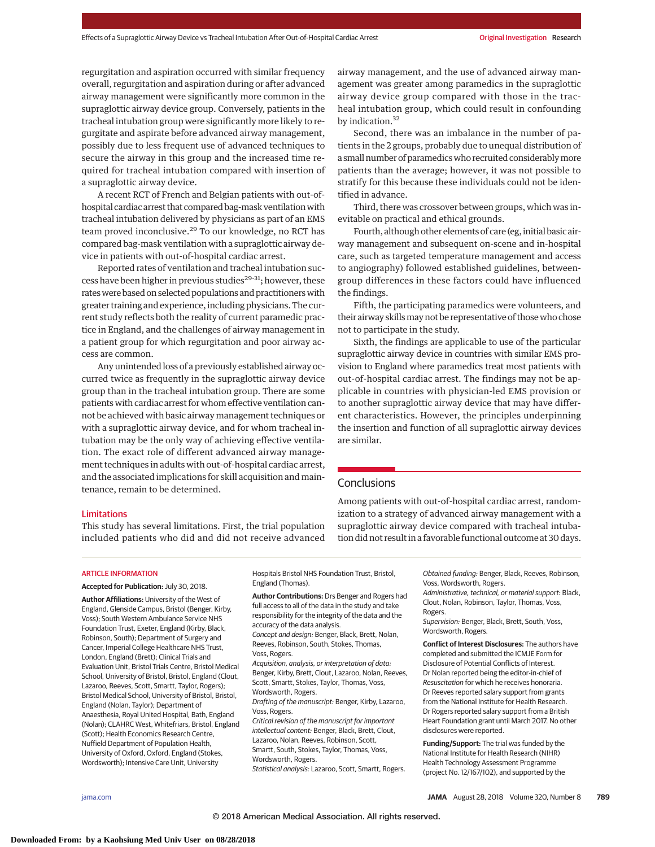regurgitation and aspiration occurred with similar frequency overall, regurgitation and aspiration during or after advanced airway management were significantly more common in the supraglottic airway device group. Conversely, patients in the tracheal intubation group were significantly more likely to regurgitate and aspirate before advanced airway management, possibly due to less frequent use of advanced techniques to secure the airway in this group and the increased time required for tracheal intubation compared with insertion of a supraglottic airway device.

A recent RCT of French and Belgian patients with out-ofhospital cardiac arrest that compared bag-mask ventilation with tracheal intubation delivered by physicians as part of an EMS team proved inconclusive.<sup>29</sup> To our knowledge, no RCT has compared bag-mask ventilation with a supraglottic airway device in patients with out-of-hospital cardiac arrest.

Reported rates of ventilation and tracheal intubation success have been higher in previous studies<sup>29-31</sup>; however, these rates were based on selected populations and practitioners with greater training and experience, including physicians. The current study reflects both the reality of current paramedic practice in England, and the challenges of airway management in a patient group for which regurgitation and poor airway access are common.

Any unintended loss of a previously established airway occurred twice as frequently in the supraglottic airway device group than in the tracheal intubation group. There are some patients with cardiac arrest for whom effective ventilation cannot be achieved with basic airway management techniques or with a supraglottic airway device, and for whom tracheal intubation may be the only way of achieving effective ventilation. The exact role of different advanced airway management techniques in adults with out-of-hospital cardiac arrest, and the associated implications for skill acquisition and maintenance, remain to be determined.

airway management, and the use of advanced airway management was greater among paramedics in the supraglottic airway device group compared with those in the tracheal intubation group, which could result in confounding by indication.<sup>32</sup>

Second, there was an imbalance in the number of patients in the 2 groups, probably due to unequal distribution of a small number of paramedics who recruited considerably more patients than the average; however, it was not possible to stratify for this because these individuals could not be identified in advance.

Third, there was crossover between groups, which was inevitable on practical and ethical grounds.

Fourth, although other elements of care (eg, initial basic airway management and subsequent on-scene and in-hospital care, such as targeted temperature management and access to angiography) followed established guidelines, betweengroup differences in these factors could have influenced the findings.

Fifth, the participating paramedics were volunteers, and their airway skills may not be representative of those who chose not to participate in the study.

Sixth, the findings are applicable to use of the particular supraglottic airway device in countries with similar EMS provision to England where paramedics treat most patients with out-of-hospital cardiac arrest. The findings may not be applicable in countries with physician-led EMS provision or to another supraglottic airway device that may have different characteristics. However, the principles underpinning the insertion and function of all supraglottic airway devices are similar.

# **Conclusions**

Limitations

This study has several limitations. First, the trial population included patients who did and did not receive advanced

Among patients with out-of-hospital cardiac arrest, randomization to a strategy of advanced airway management with a supraglottic airway device compared with tracheal intubation did not result in a favorable functional outcome at 30 days.

# ARTICLE INFORMATION

**Accepted for Publication:** July 30, 2018.

**Author Affiliations:** University of the West of England, Glenside Campus, Bristol (Benger, Kirby, Voss); South Western Ambulance Service NHS Foundation Trust, Exeter, England (Kirby, Black, Robinson, South); Department of Surgery and Cancer, Imperial College Healthcare NHS Trust, London, England (Brett); Clinical Trials and Evaluation Unit, Bristol Trials Centre, Bristol Medical School, University of Bristol, Bristol, England (Clout, Lazaroo, Reeves, Scott, Smartt, Taylor, Rogers); Bristol Medical School, University of Bristol, Bristol, England (Nolan, Taylor); Department of Anaesthesia, Royal United Hospital, Bath, England (Nolan); CLAHRC West, Whitefriars, Bristol, England (Scott); Health Economics Research Centre, Nuffield Department of Population Health, University of Oxford, Oxford, England (Stokes, Wordsworth); Intensive Care Unit, University

Hospitals Bristol NHS Foundation Trust, Bristol, England (Thomas).

**Author Contributions:** Drs Benger and Rogers had full access to all of the data in the study and take responsibility for the integrity of the data and the accuracy of the data analysis.

Concept and design: Benger, Black, Brett, Nolan, Reeves, Robinson, South, Stokes, Thomas, Voss, Rogers.

Acquisition, analysis, or interpretation of data: Benger, Kirby, Brett, Clout, Lazaroo, Nolan, Reeves, Scott, Smartt, Stokes, Taylor, Thomas, Voss,

Wordsworth, Rogers. Drafting of the manuscript: Benger, Kirby, Lazaroo, Voss, Rogers.

Critical revision of the manuscript for important intellectual content: Benger, Black, Brett, Clout, Lazaroo, Nolan, Reeves, Robinson, Scott, Smartt, South, Stokes, Taylor, Thomas, Voss, Wordsworth, Rogers.

Statistical analysis: Lazaroo, Scott, Smartt, Rogers.

Obtained funding: Benger, Black, Reeves, Robinson, Voss, Wordsworth, Rogers.

Administrative, technical, or material support: Black, Clout, Nolan, Robinson, Taylor, Thomas, Voss, Rogers.

Supervision: Benger, Black, Brett, South, Voss, Wordsworth, Rogers.

**Conflict of Interest Disclosures:** The authors have completed and submitted the ICMJE Form for Disclosure of Potential Conflicts of Interest. Dr Nolan reported being the editor-in-chief of Resuscitation for which he receives honoraria. Dr Reeves reported salary support from grants from the National Institute for Health Research. Dr Rogers reported salary support from a British Heart Foundation grant until March 2017. No other disclosures were reported.

**Funding/Support:** The trial was funded by the National Institute for Health Research (NIHR) Health Technology Assessment Programme (project No. 12/167/102), and supported by the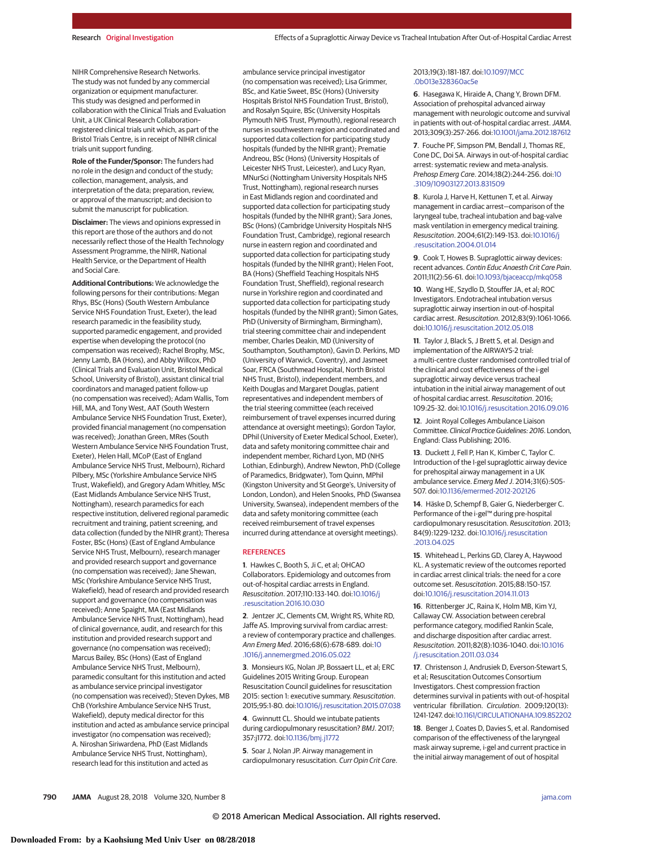NIHR Comprehensive Research Networks. The study was not funded by any commercial organization or equipment manufacturer. This study was designed and performed in collaboration with the Clinical Trials and Evaluation Unit, a UK Clinical Research Collaboration– registered clinical trials unit which, as part of the Bristol Trials Centre, is in receipt of NIHR clinical trials unit support funding.

**Role of the Funder/Sponsor:** The funders had no role in the design and conduct of the study; collection, management, analysis, and interpretation of the data; preparation, review, or approval of the manuscript; and decision to submit the manuscript for publication.

**Disclaimer:** The views and opinions expressed in this report are those of the authors and do not necessarily reflect those of the Health Technology Assessment Programme, the NIHR, National Health Service, or the Department of Health and Social Care.

**Additional Contributions:** We acknowledge the following persons for their contributions: Megan Rhys, BSc (Hons) (South Western Ambulance Service NHS Foundation Trust, Exeter), the lead research paramedic in the feasibility study, supported paramedic engagement, and provided expertise when developing the protocol (no compensation was received); Rachel Brophy, MSc, Jenny Lamb, BA (Hons), and Abby Willcox, PhD (Clinical Trials and Evaluation Unit, Bristol Medical School, University of Bristol), assistant clinical trial coordinators and managed patient follow-up (no compensation was received); Adam Wallis, Tom Hill, MA, and Tony West, AAT (South Western Ambulance Service NHS Foundation Trust, Exeter), provided financial management (no compensation was received); Jonathan Green, MRes (South Western Ambulance Service NHS Foundation Trust, Exeter), Helen Hall, MCoP (East of England Ambulance Service NHS Trust, Melbourn), Richard Pilbery, MSc (Yorkshire Ambulance Service NHS Trust, Wakefield), and Gregory Adam Whitley, MSc (East Midlands Ambulance Service NHS Trust, Nottingham), research paramedics for each respective institution, delivered regional paramedic recruitment and training, patient screening, and data collection (funded by the NIHR grant); Theresa Foster, BSc (Hons) (East of England Ambulance Service NHS Trust, Melbourn), research manager and provided research support and governance (no compensation was received); Jane Shewan, MSc (Yorkshire Ambulance Service NHS Trust, Wakefield), head of research and provided research support and governance (no compensation was received); Anne Spaight, MA (East Midlands Ambulance Service NHS Trust, Nottingham), head of clinical governance, audit, and research for this institution and provided research support and governance (no compensation was received); Marcus Bailey, BSc (Hons) (East of England Ambulance Service NHS Trust, Melbourn), paramedic consultant for this institution and acted as ambulance service principal investigator (no compensation was received); Steven Dykes, MB ChB (Yorkshire Ambulance Service NHS Trust, Wakefield), deputy medical director for this institution and acted as ambulance service principal investigator (no compensation was received); A. Niroshan Siriwardena, PhD (East Midlands Ambulance Service NHS Trust, Nottingham), research lead for this institution and acted as

ambulance service principal investigator (no compensation was received); Lisa Grimmer, BSc, and Katie Sweet, BSc (Hons) (University Hospitals Bristol NHS Foundation Trust, Bristol), and Rosalyn Squire, BSc (University Hospitals Plymouth NHS Trust, Plymouth), regional research nurses in southwestern region and coordinated and supported data collection for participating study hospitals (funded by the NIHR grant); Prematie Andreou, BSc (Hons) (University Hospitals of Leicester NHS Trust, Leicester), and Lucy Ryan, MNurSci (Nottingham University Hospitals NHS Trust, Nottingham), regional research nurses in East Midlands region and coordinated and supported data collection for participating study hospitals (funded by the NIHR grant); Sara Jones, BSc (Hons) (Cambridge University Hospitals NHS Foundation Trust, Cambridge), regional research nurse in eastern region and coordinated and supported data collection for participating study hospitals (funded by the NIHR grant); Helen Foot, BA (Hons) (Sheffield Teaching Hospitals NHS Foundation Trust, Sheffield), regional research nurse in Yorkshire region and coordinated and supported data collection for participating study hospitals (funded by the NIHR grant); Simon Gates, PhD (University of Birmingham, Birmingham), trial steering committee chair and independent member, Charles Deakin, MD (University of Southampton, Southampton), Gavin D. Perkins, MD (University of Warwick, Coventry), and Jasmeet Soar, FRCA (Southmead Hospital, North Bristol NHS Trust, Bristol), independent members, and Keith Douglas and Margaret Douglas, patient representatives and independent members of the trial steering committee (each received reimbursement of travel expenses incurred during attendance at oversight meetings); Gordon Taylor, DPhil (University of Exeter Medical School, Exeter), data and safety monitoring committee chair and independent member, Richard Lyon, MD (NHS Lothian, Edinburgh), Andrew Newton, PhD (College of Paramedics, Bridgwater), Tom Quinn, MPhil (Kingston University and St George's, University of London, London), and Helen Snooks, PhD (Swansea University, Swansea), independent members of the data and safety monitoring committee (each received reimbursement of travel expenses incurred during attendance at oversight meetings).

#### **REFERENCES**

**1**. Hawkes C, Booth S, Ji C, et al; OHCAO Collaborators. Epidemiology and outcomes from out-of-hospital cardiac arrests in England. Resuscitation. 2017;110:133-140. doi[:10.1016/j](https://dx.doi.org/10.1016/j.resuscitation.2016.10.030) [.resuscitation.2016.10.030](https://dx.doi.org/10.1016/j.resuscitation.2016.10.030)

**2**. Jentzer JC, Clements CM, Wright RS, White RD, Jaffe AS. Improving survival from cardiac arrest: a review of contemporary practice and challenges. Ann Emerg Med. 2016;68(6):678-689. doi[:10](https://dx.doi.org/10.1016/j.annemergmed.2016.05.022) [.1016/j.annemergmed.2016.05.022](https://dx.doi.org/10.1016/j.annemergmed.2016.05.022)

**3**. Monsieurs KG, Nolan JP, Bossaert LL, et al; ERC Guidelines 2015 Writing Group. European Resuscitation Council guidelines for resuscitation 2015: section 1: executive summary. Resuscitation. 2015;95:1-80. doi[:10.1016/j.resuscitation.2015.07.038](https://dx.doi.org/10.1016/j.resuscitation.2015.07.038)

**4**. Gwinnutt CL. Should we intubate patients during cardiopulmonary resuscitation? BMJ. 2017; 357:j1772. doi[:10.1136/bmj.j1772](https://dx.doi.org/10.1136/bmj.j1772)

**5**. Soar J, Nolan JP. Airway management in cardiopulmonary resuscitation. Curr Opin Crit Care.

#### 2013;19(3):181-187. doi[:10.1097/MCC](https://dx.doi.org/10.1097/MCC.0b013e328360ac5e) [.0b013e328360ac5e](https://dx.doi.org/10.1097/MCC.0b013e328360ac5e)

**6**. Hasegawa K, Hiraide A, Chang Y, Brown DFM. Association of prehospital advanced airway management with neurologic outcome and survival in patients with out-of-hospital cardiac arrest. JAMA. 2013;309(3):257-266. doi[:10.1001/jama.2012.187612](https://jama.jamanetwork.com/article.aspx?doi=10.1001/jama.2012.187612&utm_campaign=articlePDF%26utm_medium=articlePDFlink%26utm_source=articlePDF%26utm_content=jama.2018.11597)

**7**. Fouche PF, Simpson PM, Bendall J, Thomas RE, Cone DC, Doi SA. Airways in out-of-hospital cardiac arrest: systematic review and meta-analysis. Prehosp Emerg Care. 2014;18(2):244-256. doi[:10](https://dx.doi.org/10.3109/10903127.2013.831509) [.3109/10903127.2013.831509](https://dx.doi.org/10.3109/10903127.2013.831509)

**8**. Kurola J, Harve H, Kettunen T, et al. Airway management in cardiac arrest—comparison of the laryngeal tube, tracheal intubation and bag-valve mask ventilation in emergency medical training. Resuscitation. 2004;61(2):149-153. doi[:10.1016/j](https://dx.doi.org/10.1016/j.resuscitation.2004.01.014) [.resuscitation.2004.01.014](https://dx.doi.org/10.1016/j.resuscitation.2004.01.014)

**9**. Cook T, Howes B. Supraglottic airway devices: recent advances. Contin Educ Anaesth Crit Care Pain. 2011;11(2):56-61. doi[:10.1093/bjaceaccp/mkq058](https://dx.doi.org/10.1093/bjaceaccp/mkq058)

**10**. Wang HE, Szydlo D, Stouffer JA, et al; ROC Investigators. Endotracheal intubation versus supraglottic airway insertion in out-of-hospital cardiac arrest. Resuscitation. 2012;83(9):1061-1066. doi[:10.1016/j.resuscitation.2012.05.018](https://dx.doi.org/10.1016/j.resuscitation.2012.05.018)

**11**. Taylor J, Black S, J Brett S, et al. Design and implementation of the AIRWAYS-2 trial: a multi-centre cluster randomised controlled trial of the clinical and cost effectiveness of the i-gel supraglottic airway device versus tracheal intubation in the initial airway management of out of hospital cardiac arrest. Resuscitation. 2016; 109:25-32. doi[:10.1016/j.resuscitation.2016.09.016](https://dx.doi.org/10.1016/j.resuscitation.2016.09.016)

**12**. Joint Royal Colleges Ambulance Liaison Committee. Clinical Practice Guidelines: 2016. London, England: Class Publishing; 2016.

**13**. Duckett J, Fell P, Han K, Kimber C, Taylor C. Introduction of the I-gel supraglottic airway device for prehospital airway management in a UK ambulance service. Emerg Med J. 2014;31(6):505- 507. doi[:10.1136/emermed-2012-202126](https://dx.doi.org/10.1136/emermed-2012-202126)

**14**. Häske D, Schempf B, Gaier G, Niederberger C. Performance of the i-gel™ during pre-hospital cardiopulmonary resuscitation. Resuscitation. 2013; 84(9):1229-1232. doi[:10.1016/j.resuscitation](https://dx.doi.org/10.1016/j.resuscitation.2013.04.025) [.2013.04.025](https://dx.doi.org/10.1016/j.resuscitation.2013.04.025)

**15**. Whitehead L, Perkins GD, Clarey A, Haywood KL. A systematic review of the outcomes reported in cardiac arrest clinical trials: the need for a core outcome set. Resuscitation. 2015;88:150-157. doi[:10.1016/j.resuscitation.2014.11.013](https://dx.doi.org/10.1016/j.resuscitation.2014.11.013)

**16**. Rittenberger JC, Raina K, Holm MB, Kim YJ, Callaway CW. Association between cerebral performance category, modified Rankin Scale, and discharge disposition after cardiac arrest. Resuscitation. 2011;82(8):1036-1040. doi[:10.1016](https://dx.doi.org/10.1016/j.resuscitation.2011.03.034) [/j.resuscitation.2011.03.034](https://dx.doi.org/10.1016/j.resuscitation.2011.03.034)

**17**. Christenson J, Andrusiek D, Everson-Stewart S, et al; Resuscitation Outcomes Consortium Investigators. Chest compression fraction determines survival in patients with out-of-hospital ventricular fibrillation. Circulation. 2009;120(13): 1241-1247. doi[:10.1161/CIRCULATIONAHA.109.852202](https://dx.doi.org/10.1161/CIRCULATIONAHA.109.852202)

**18**. Benger J, Coates D, Davies S, et al. Randomised comparison of the effectiveness of the laryngeal mask airway supreme, i-gel and current practice in the initial airway management of out of hospital